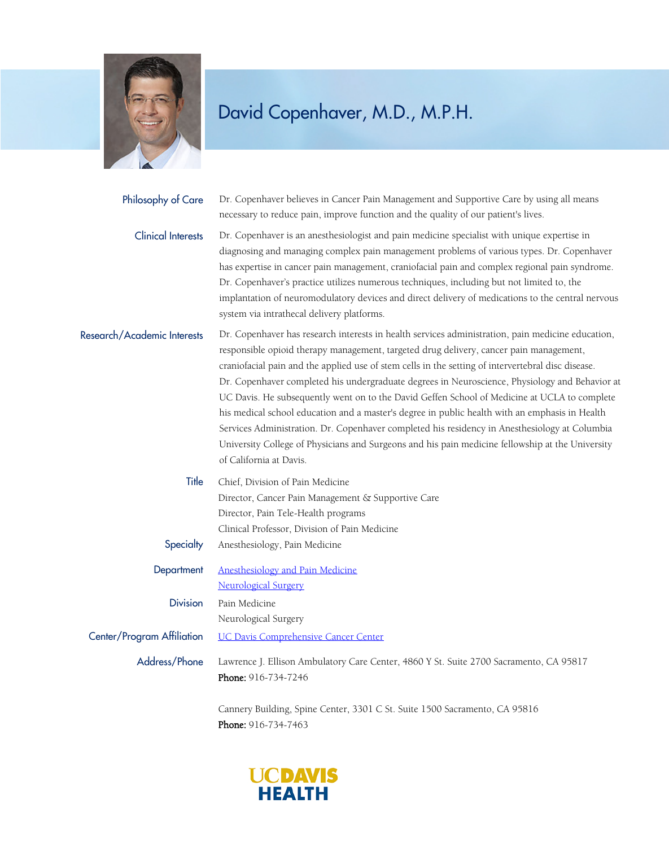

| Philosophy of Care          | Dr. Copenhaver believes in Cancer Pain Management and Supportive Care by using all means<br>necessary to reduce pain, improve function and the quality of our patient's lives.                                                                                                                                                                                                                                                                                                                                                                                                                                                                                                                                                                                                                                                        |
|-----------------------------|---------------------------------------------------------------------------------------------------------------------------------------------------------------------------------------------------------------------------------------------------------------------------------------------------------------------------------------------------------------------------------------------------------------------------------------------------------------------------------------------------------------------------------------------------------------------------------------------------------------------------------------------------------------------------------------------------------------------------------------------------------------------------------------------------------------------------------------|
| <b>Clinical Interests</b>   | Dr. Copenhaver is an anesthesiologist and pain medicine specialist with unique expertise in<br>diagnosing and managing complex pain management problems of various types. Dr. Copenhaver<br>has expertise in cancer pain management, craniofacial pain and complex regional pain syndrome.<br>Dr. Copenhaver's practice utilizes numerous techniques, including but not limited to, the<br>implantation of neuromodulatory devices and direct delivery of medications to the central nervous<br>system via intrathecal delivery platforms.                                                                                                                                                                                                                                                                                            |
| Research/Academic Interests | Dr. Copenhaver has research interests in health services administration, pain medicine education,<br>responsible opioid therapy management, targeted drug delivery, cancer pain management,<br>craniofacial pain and the applied use of stem cells in the setting of intervertebral disc disease.<br>Dr. Copenhaver completed his undergraduate degrees in Neuroscience, Physiology and Behavior at<br>UC Davis. He subsequently went on to the David Geffen School of Medicine at UCLA to complete<br>his medical school education and a master's degree in public health with an emphasis in Health<br>Services Administration. Dr. Copenhaver completed his residency in Anesthesiology at Columbia<br>University College of Physicians and Surgeons and his pain medicine fellowship at the University<br>of California at Davis. |
| Title                       | Chief, Division of Pain Medicine<br>Director, Cancer Pain Management & Supportive Care<br>Director, Pain Tele-Health programs                                                                                                                                                                                                                                                                                                                                                                                                                                                                                                                                                                                                                                                                                                         |
| Specialty                   | Clinical Professor, Division of Pain Medicine<br>Anesthesiology, Pain Medicine                                                                                                                                                                                                                                                                                                                                                                                                                                                                                                                                                                                                                                                                                                                                                        |
| Department                  | <b>Anesthesiology and Pain Medicine</b><br><b>Neurological Surgery</b>                                                                                                                                                                                                                                                                                                                                                                                                                                                                                                                                                                                                                                                                                                                                                                |
| <b>Division</b>             | Pain Medicine<br>Neurological Surgery                                                                                                                                                                                                                                                                                                                                                                                                                                                                                                                                                                                                                                                                                                                                                                                                 |
| Center/Program Affiliation  | UC Davis Comprehensive Cancer Center                                                                                                                                                                                                                                                                                                                                                                                                                                                                                                                                                                                                                                                                                                                                                                                                  |
| Address/Phone               | Lawrence J. Ellison Ambulatory Care Center, 4860 Y St. Suite 2700 Sacramento, CA 95817<br>Phone: 916-734-7246                                                                                                                                                                                                                                                                                                                                                                                                                                                                                                                                                                                                                                                                                                                         |
|                             | Cannery Building, Spine Center, 3301 C St. Suite 1500 Sacramento, CA 95816                                                                                                                                                                                                                                                                                                                                                                                                                                                                                                                                                                                                                                                                                                                                                            |

Phone: 916-734-7463

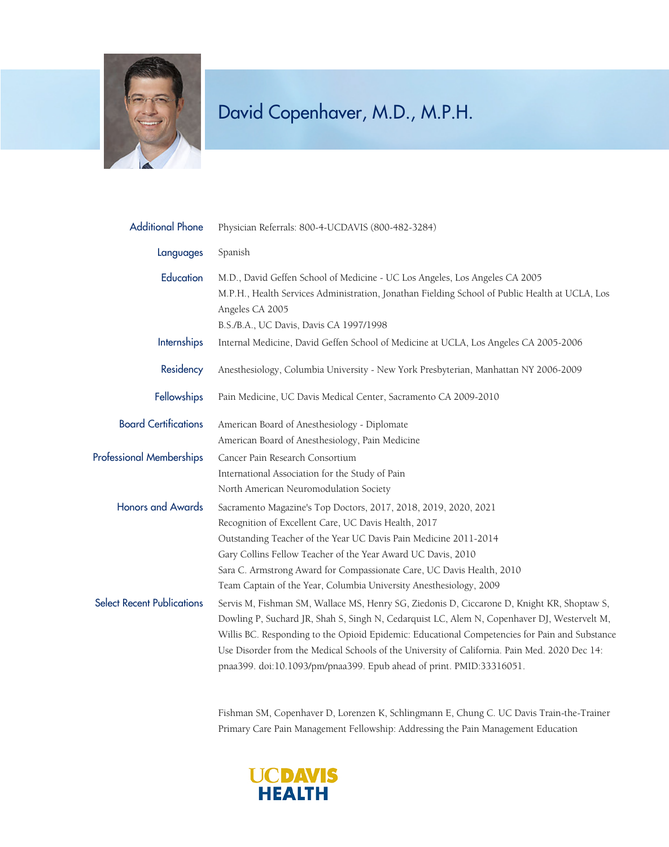

| <b>Additional Phone</b>           | Physician Referrals: 800-4-UCDAVIS (800-482-3284)                                                                                                                                                                                                                                                                                                                                                                                                                                                                                         |
|-----------------------------------|-------------------------------------------------------------------------------------------------------------------------------------------------------------------------------------------------------------------------------------------------------------------------------------------------------------------------------------------------------------------------------------------------------------------------------------------------------------------------------------------------------------------------------------------|
| Languages                         | Spanish                                                                                                                                                                                                                                                                                                                                                                                                                                                                                                                                   |
| Education                         | M.D., David Geffen School of Medicine - UC Los Angeles, Los Angeles CA 2005<br>M.P.H., Health Services Administration, Jonathan Fielding School of Public Health at UCLA, Los<br>Angeles CA 2005<br>B.S./B.A., UC Davis, Davis CA 1997/1998                                                                                                                                                                                                                                                                                               |
| <b>Internships</b>                | Internal Medicine, David Geffen School of Medicine at UCLA, Los Angeles CA 2005-2006                                                                                                                                                                                                                                                                                                                                                                                                                                                      |
| Residency                         | Anesthesiology, Columbia University - New York Presbyterian, Manhattan NY 2006-2009                                                                                                                                                                                                                                                                                                                                                                                                                                                       |
| <b>Fellowships</b>                | Pain Medicine, UC Davis Medical Center, Sacramento CA 2009-2010                                                                                                                                                                                                                                                                                                                                                                                                                                                                           |
| <b>Board Certifications</b>       | American Board of Anesthesiology - Diplomate<br>American Board of Anesthesiology, Pain Medicine                                                                                                                                                                                                                                                                                                                                                                                                                                           |
| <b>Professional Memberships</b>   | Cancer Pain Research Consortium<br>International Association for the Study of Pain<br>North American Neuromodulation Society                                                                                                                                                                                                                                                                                                                                                                                                              |
| <b>Honors and Awards</b>          | Sacramento Magazine's Top Doctors, 2017, 2018, 2019, 2020, 2021<br>Recognition of Excellent Care, UC Davis Health, 2017<br>Outstanding Teacher of the Year UC Davis Pain Medicine 2011-2014<br>Gary Collins Fellow Teacher of the Year Award UC Davis, 2010<br>Sara C. Armstrong Award for Compassionate Care, UC Davis Health, 2010                                                                                                                                                                                                      |
| <b>Select Recent Publications</b> | Team Captain of the Year, Columbia University Anesthesiology, 2009<br>Servis M, Fishman SM, Wallace MS, Henry SG, Ziedonis D, Ciccarone D, Knight KR, Shoptaw S,<br>Dowling P, Suchard JR, Shah S, Singh N, Cedarquist LC, Alem N, Copenhaver DJ, Westervelt M,<br>Willis BC. Responding to the Opioid Epidemic: Educational Competencies for Pain and Substance<br>Use Disorder from the Medical Schools of the University of California. Pain Med. 2020 Dec 14:<br>pnaa399. doi:10.1093/pm/pnaa399. Epub ahead of print. PMID:33316051. |

Fishman SM, Copenhaver D, Lorenzen K, Schlingmann E, Chung C. UC Davis Train-the-Trainer Primary Care Pain Management Fellowship: Addressing the Pain Management Education

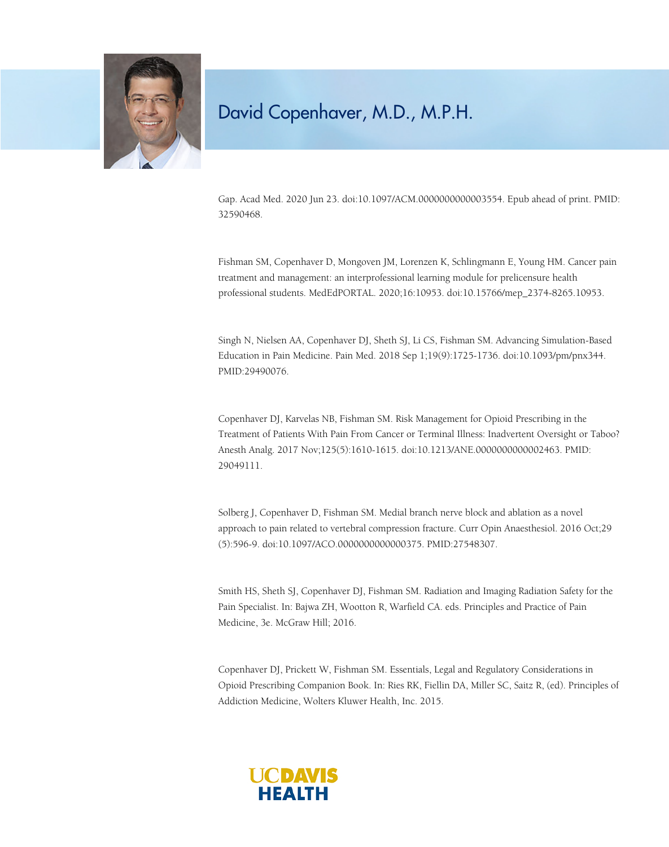

Gap. Acad Med. 2020 Jun 23. doi:10.1097/ACM.0000000000003554. Epub ahead of print. PMID: 32590468.

Fishman SM, Copenhaver D, Mongoven JM, Lorenzen K, Schlingmann E, Young HM. Cancer pain treatment and management: an interprofessional learning module for prelicensure health professional students. MedEdPORTAL. 2020;16:10953. doi:10.15766/mep\_2374-8265.10953.

Singh N, Nielsen AA, Copenhaver DJ, Sheth SJ, Li CS, Fishman SM. Advancing Simulation-Based Education in Pain Medicine. Pain Med. 2018 Sep 1;19(9):1725-1736. doi:10.1093/pm/pnx344. PMID:29490076.

Copenhaver DJ, Karvelas NB, Fishman SM. Risk Management for Opioid Prescribing in the Treatment of Patients With Pain From Cancer or Terminal Illness: Inadvertent Oversight or Taboo? Anesth Analg. 2017 Nov;125(5):1610-1615. doi:10.1213/ANE.0000000000002463. PMID: 29049111.

Solberg J, Copenhaver D, Fishman SM. Medial branch nerve block and ablation as a novel approach to pain related to vertebral compression fracture. Curr Opin Anaesthesiol. 2016 Oct;29 (5):596-9. doi:10.1097/ACO.0000000000000375. PMID:27548307.

Smith HS, Sheth SJ, Copenhaver DJ, Fishman SM. Radiation and Imaging Radiation Safety for the Pain Specialist. In: Bajwa ZH, Wootton R, Warfield CA. eds. Principles and Practice of Pain Medicine, 3e. McGraw Hill; 2016.

Copenhaver DJ, Prickett W, Fishman SM. Essentials, Legal and Regulatory Considerations in Opioid Prescribing Companion Book. In: Ries RK, Fiellin DA, Miller SC, Saitz R, (ed). Principles of Addiction Medicine, Wolters Kluwer Health, Inc. 2015.